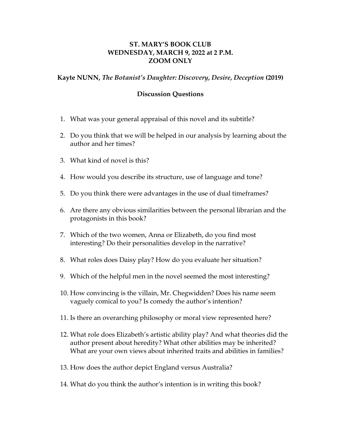## **ST. MARY'S BOOK CLUB WEDNESDAY, MARCH 9, 2022 at 2 P.M. ZOOM ONLY**

## **Kayte NUNN,** *The Botanist's Daughter: Discovery, Desire, Deception* **(2019)**

## **Discussion Questions**

- 1. What was your general appraisal of this novel and its subtitle?
- 2. Do you think that we will be helped in our analysis by learning about the author and her times?
- 3. What kind of novel is this?
- 4. How would you describe its structure, use of language and tone?
- 5. Do you think there were advantages in the use of dual timeframes?
- 6. Are there any obvious similarities between the personal librarian and the protagonists in this book?
- 7. Which of the two women, Anna or Elizabeth, do you find most interesting? Do their personalities develop in the narrative?
- 8. What roles does Daisy play? How do you evaluate her situation?
- 9. Which of the helpful men in the novel seemed the most interesting?
- 10. How convincing is the villain, Mr. Chegwidden? Does his name seem vaguely comical to you? Is comedy the author's intention?
- 11. Is there an overarching philosophy or moral view represented here?
- 12. What role does Elizabeth's artistic ability play? And what theories did the author present about heredity? What other abilities may be inherited? What are your own views about inherited traits and abilities in families?
- 13. How does the author depict England versus Australia?
- 14. What do you think the author's intention is in writing this book?